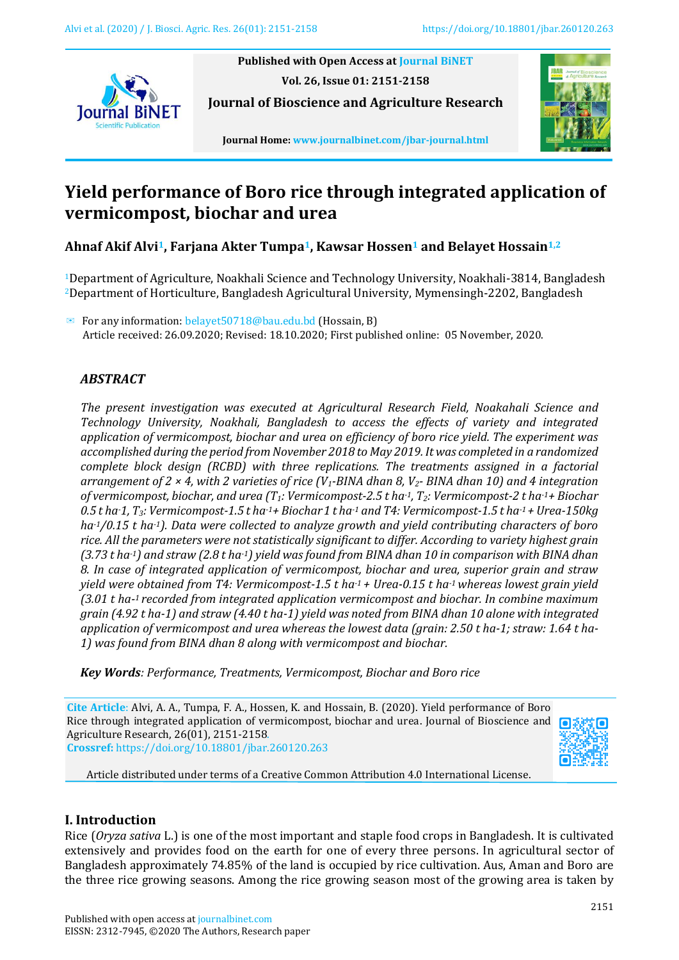

**Published with Open Access at [Journal BiNET](http://www.journalbinet.com/) Vol. 26, Issue 01: 2151-2158**

**Journal of Bioscience and Agriculture Research**



**Journal Home[: www.journalbinet.com/jbar-journal.html](http://www.journalbinet.com/jbar-journal.html)**

# **Yield performance of Boro rice through integrated application of vermicompost, biochar and urea**

**Ahnaf Akif Alvi1, Farjana Akter Tumpa1, Kawsar Hossen<sup>1</sup> and Belayet Hossain1,2**

<sup>1</sup>Department of Agriculture, Noakhali Science and Technology University, Noakhali-3814, Bangladesh <sup>2</sup>Department of Horticulture, Bangladesh Agricultural University, Mymensingh-2202, Bangladesh

✉ For any information: belayet50718@bau.edu.bd (Hossain, B) Article received: 26.09.2020; Revised: 18.10.2020; First published online: 05 November, 2020.

# *ABSTRACT*

*The present investigation was executed at Agricultural Research Field, Noakahali Science and Technology University, Noakhali, Bangladesh to access the effects of variety and integrated application of vermicompost, biochar and urea on efficiency of boro rice yield. The experiment was accomplished during the period from November 2018 to May 2019. It was completed in a randomized complete block design (RCBD) with three replications. The treatments assigned in a factorial arrangement of 2 × 4, with 2 varieties of rice (V1-BINA dhan 8, V2- BINA dhan 10) and 4 integration of vermicompost, biochar, and urea (T1: Vermicompost-2.5 t ha-1, T2: Vermicompost-2 t ha-1+ Biochar 0.5 t ha-1, T3: Vermicompost-1.5 t ha-1+ Biochar1 t ha-1 and T4: Vermicompost-1.5 t ha-1 + Urea-150kg ha-1/0.15 t ha-1). Data were collected to analyze growth and yield contributing characters of boro rice. All the parameters were not statistically significant to differ. According to variety highest grain (3.73 t ha-1) and straw (2.8 t ha-1) yield was found from BINA dhan 10 in comparison with BINA dhan 8. In case of integrated application of vermicompost, biochar and urea, superior grain and straw yield were obtained from T4: Vermicompost-1.5 t ha-1 + Urea-0.15 t ha-1 whereas lowest grain yield (3.01 t ha-<sup>1</sup>recorded from integrated application vermicompost and biochar. In combine maximum grain (4.92 t ha-1) and straw (4.40 t ha-1) yield was noted from BINA dhan 10 alone with integrated application of vermicompost and urea whereas the lowest data (grain: 2.50 t ha-1; straw: 1.64 t ha-1) was found from BINA dhan 8 along with vermicompost and biochar.*

*Key Words: Performance, Treatments, Vermicompost, Biochar and Boro rice*

**Cite Article**: Alvi, A. A., Tumpa, F. A., Hossen, K. and Hossain, B. (2020). Yield performance of Boro Rice through integrated application of vermicompost, biochar and urea. Journal of Bioscience and Agriculture Research, 26(01), 2151-2158. **Crossref:** <https://doi.org/10.18801/jbar.260120.263>



Article distributed under terms of a Creative Common Attribution 4.0 International License.

# **I. Introduction**

Rice (*Oryza sativa* L.) is one of the most important and staple food crops in Bangladesh. It is cultivated extensively and provides food on the earth for one of every three persons. In agricultural sector of Bangladesh approximately 74.85% of the land is occupied by rice cultivation. Aus, Aman and Boro are the three rice growing seasons. Among the rice growing season most of the growing area is taken by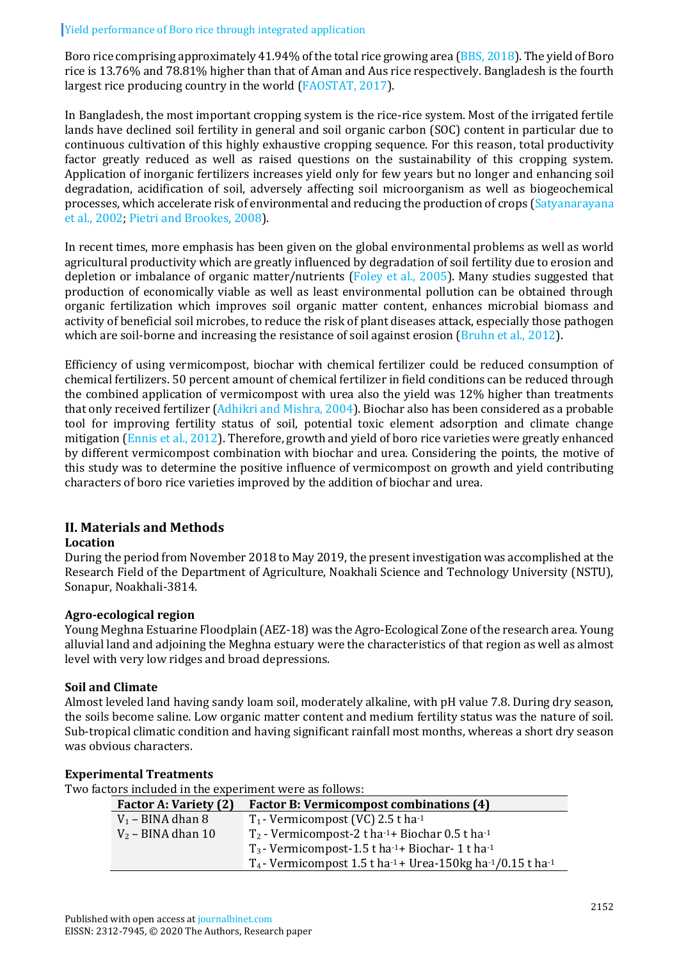Boro rice comprising approximately 41.94% of the total rice growing area [\(BBS, 2018\)](#page-5-0). The yield of Boro rice is 13.76% and 78.81% higher than that of Aman and Aus rice respectively. Bangladesh is the fourth largest rice producing country in the world [\(FAOSTAT, 2017\)](#page-6-0).

In Bangladesh, the most important cropping system is the rice-rice system. Most of the irrigated fertile lands have declined soil fertility in general and soil organic carbon (SOC) content in particular due to continuous cultivation of this highly exhaustive cropping sequence. For this reason, total productivity factor greatly reduced as well as raised questions on the sustainability of this cropping system. Application of inorganic fertilizers increases yield only for few years but no longer and enhancing soil degradation, acidification of soil, adversely affecting soil microorganism as well as biogeochemical processes, which accelerate risk of environmental and reducing the production of crops [\(Satyanarayana](#page-6-1)  [et al., 2002;](#page-6-1) Pietri [and Brookes, 2008\)](#page-6-2).

In recent times, more emphasis has been given on the global environmental problems as well as world agricultural productivity which are greatly influenced by degradation of soil fertility due to erosion and depletion or imbalance of organic matter/nutrients [\(Foley et al., 2005\)](#page-6-3). Many studies suggested that production of economically viable as well as least environmental pollution can be obtained through organic fertilization which improves soil organic matter content, enhances microbial biomass and activity of beneficial soil microbes, to reduce the risk of plant diseases attack, especially those pathogen which are soil-borne and increasing the resistance of soil against erosion [\(Bruhn et al., 2012\)](#page-5-1).

Efficiency of using vermicompost, biochar with chemical fertilizer could be reduced consumption of chemical fertilizers. 50 percent amount of chemical fertilizer in field conditions can be reduced through the combined application of vermicompost with urea also the yield was 12% higher than treatments that only received fertilizer [\(Adhikri and Mishra, 2004\)](#page-5-2). Biochar also has been considered as a probable tool for improving fertility status of soil, potential toxic element adsorption and climate change mitigation [\(Ennis et al., 2012\)](#page-5-3). Therefore, growth and yield of boro rice varieties were greatly enhanced by different vermicompost combination with biochar and urea. Considering the points, the motive of this study was to determine the positive influence of vermicompost on growth and yield contributing characters of boro rice varieties improved by the addition of biochar and urea.

# **II. Materials and Methods**

# **Location**

During the period from November 2018 to May 2019, the present investigation was accomplished at the Research Field of the Department of Agriculture, Noakhali Science and Technology University (NSTU), Sonapur, Noakhali-3814.

# **Agro-ecological region**

Young Meghna Estuarine Floodplain (AEZ-18) was the Agro-Ecological Zone of the research area. Young alluvial land and adjoining the Meghna estuary were the characteristics of that region as well as almost level with very low ridges and broad depressions.

# **Soil and Climate**

Almost leveled land having sandy loam soil, moderately alkaline, with pH value 7.8. During dry season, the soils become saline. Low organic matter content and medium fertility status was the nature of soil. Sub-tropical climatic condition and having significant rainfall most months, whereas a short dry season was obvious characters.

#### **Experimental Treatments**

Two factors included in the experiment were as follows:

| <b>Factor A: Variety (2)</b> | <b>Factor B: Vermicompost combinations (4)</b>                             |
|------------------------------|----------------------------------------------------------------------------|
| $V_1$ – BINA dhan 8          | $T_1$ - Vermicompost (VC) 2.5 t ha <sup>-1</sup>                           |
| $V_2$ – BINA dhan 10         | $T_2$ - Vermicompost-2 t ha-1+ Biochar 0.5 t ha-1                          |
|                              | $T_3$ - Vermicompost-1.5 t ha <sup>-1</sup> + Biochar-1 t ha <sup>-1</sup> |
|                              | $T_4$ - Vermicompost 1.5 t ha $-1$ + Urea-150kg ha $-1/0.15$ t ha $-1$     |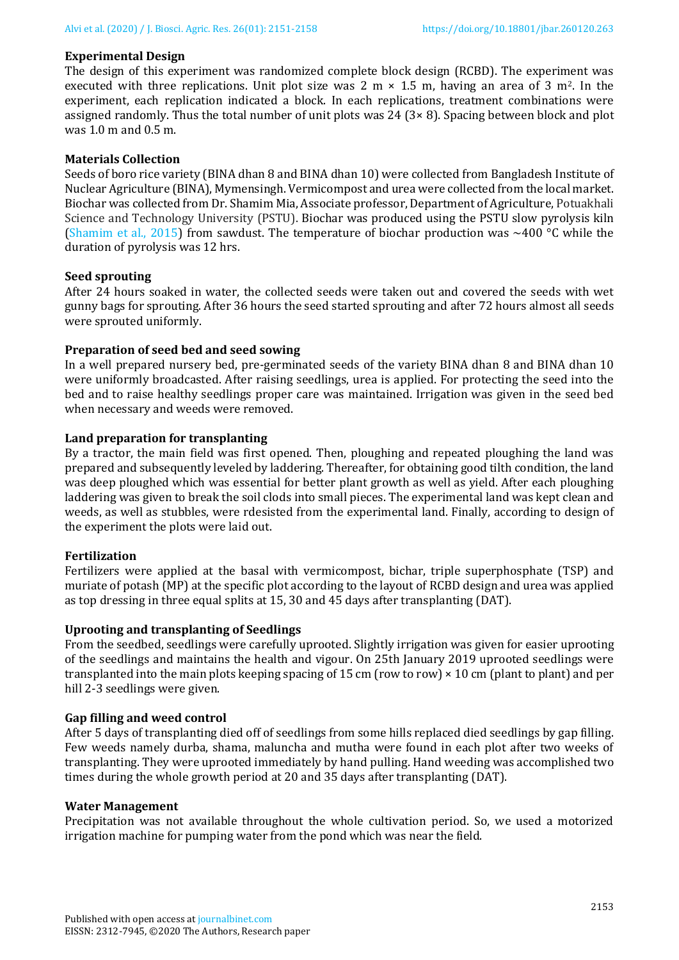### **Experimental Design**

The design of this experiment was randomized complete block design (RCBD). The experiment was executed with three replications. Unit plot size was 2 m  $\times$  1.5 m, having an area of 3 m<sup>2</sup>. In the experiment, each replication indicated a block. In each replications, treatment combinations were assigned randomly. Thus the total number of unit plots was  $24$  ( $3 \times 8$ ). Spacing between block and plot was 1.0 m and 0.5 m.

#### **Materials Collection**

Seeds of boro rice variety (BINA dhan 8 and BINA dhan 10) were collected from Bangladesh Institute of Nuclear Agriculture (BINA), Mymensingh. Vermicompost and urea were collected from the local market. Biochar was collected from Dr. Shamim Mia, Associate professor, Department of Agriculture, Potuakhali Science and Technology University (PSTU). Biochar was produced using the PSTU slow pyrolysis kiln [\(Shamim et al., 2015\)](#page-6-4) from sawdust. The temperature of biochar production was  $\sim$ 400 °C while the duration of pyrolysis was 12 hrs.

#### **Seed sprouting**

After 24 hours soaked in water, the collected seeds were taken out and covered the seeds with wet gunny bags for sprouting. After 36 hours the seed started sprouting and after 72 hours almost all seeds were sprouted uniformly.

#### **Preparation of seed bed and seed sowing**

In a well prepared nursery bed, pre-germinated seeds of the variety BINA dhan 8 and BINA dhan 10 were uniformly broadcasted. After raising seedlings, urea is applied. For protecting the seed into the bed and to raise healthy seedlings proper care was maintained. Irrigation was given in the seed bed when necessary and weeds were removed.

#### **Land preparation for transplanting**

By a tractor, the main field was first opened. Then, ploughing and repeated ploughing the land was prepared and subsequently leveled by laddering. Thereafter, for obtaining good tilth condition, the land was deep ploughed which was essential for better plant growth as well as yield. After each ploughing laddering was given to break the soil clods into small pieces. The experimental land was kept clean and weeds, as well as stubbles, were rdesisted from the experimental land. Finally, according to design of the experiment the plots were laid out.

#### **Fertilization**

Fertilizers were applied at the basal with vermicompost, bichar, triple superphosphate (TSP) and muriate of potash (MP) at the specific plot according to the layout of RCBD design and urea was applied as top dressing in three equal splits at 15, 30 and 45 days after transplanting (DAT).

#### **Uprooting and transplanting of Seedlings**

From the seedbed, seedlings were carefully uprooted. Slightly irrigation was given for easier uprooting of the seedlings and maintains the health and vigour. On 25th January 2019 uprooted seedlings were transplanted into the main plots keeping spacing of 15 cm (row to row) × 10 cm (plant to plant) and per hill 2-3 seedlings were given.

#### **Gap filling and weed control**

After 5 days of transplanting died off of seedlings from some hills replaced died seedlings by gap filling. Few weeds namely durba, shama, maluncha and mutha were found in each plot after two weeks of transplanting. They were uprooted immediately by hand pulling. Hand weeding was accomplished two times during the whole growth period at 20 and 35 days after transplanting (DAT).

#### **Water Management**

Precipitation was not available throughout the whole cultivation period. So, we used a motorized irrigation machine for pumping water from the pond which was near the field.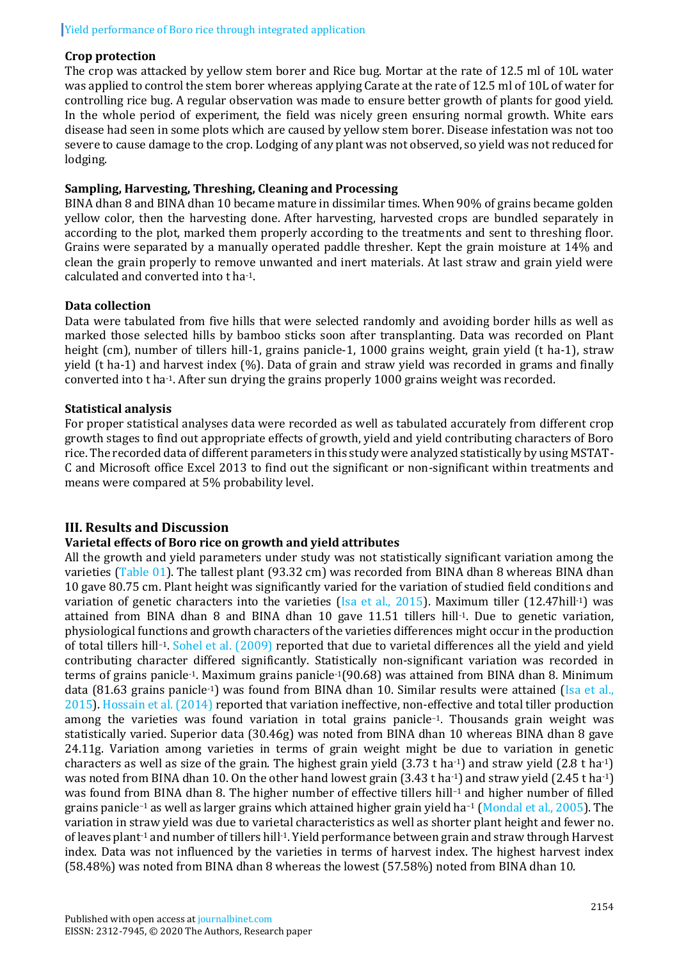# Yield performance of Boro rice through integrated application

### **Crop protection**

The crop was attacked by yellow stem borer and Rice bug. Mortar at the rate of 12.5 ml of 10L water was applied to control the stem borer whereas applying Carate at the rate of 12.5 ml of 10L of water for controlling rice bug. A regular observation was made to ensure better growth of plants for good yield. In the whole period of experiment, the field was nicely green ensuring normal growth. White ears disease had seen in some plots which are caused by yellow stem borer. Disease infestation was not too severe to cause damage to the crop. Lodging of any plant was not observed, so yield was not reduced for lodging.

### **Sampling, Harvesting, Threshing, Cleaning and Processing**

BINA dhan 8 and BINA dhan 10 became mature in dissimilar times. When 90% of grains became golden yellow color, then the harvesting done. After harvesting, harvested crops are bundled separately in according to the plot, marked them properly according to the treatments and sent to threshing floor. Grains were separated by a manually operated paddle thresher. Kept the grain moisture at 14% and clean the grain properly to remove unwanted and inert materials. At last straw and grain yield were calculated and converted into t ha-1.

#### **Data collection**

Data were tabulated from five hills that were selected randomly and avoiding border hills as well as marked those selected hills by bamboo sticks soon after transplanting. Data was recorded on Plant height (cm), number of tillers hill-1, grains panicle-1, 1000 grains weight, grain yield (t ha-1), straw yield (t ha-1) and harvest index (%). Data of grain and straw yield was recorded in grams and finally converted into t ha-1. After sun drying the grains properly 1000 grains weight was recorded.

### **Statistical analysis**

For proper statistical analyses data were recorded as well as tabulated accurately from different crop growth stages to find out appropriate effects of growth, yield and yield contributing characters of Boro rice. The recorded data of different parameters in this study were analyzed statistically by using MSTAT-C and Microsoft office Excel 2013 to find out the significant or non-significant within treatments and means were compared at 5% probability level.

# **III. Results and Discussion**

# **Varietal effects of Boro rice on growth and yield attributes**

All the growth and yield parameters under study was not statistically significant variation among the varieties [\(Table 01\)](#page-4-0). The tallest plant (93.32 cm) was recorded from BINA dhan 8 whereas BINA dhan 10 gave 80.75 cm. Plant height was significantly varied for the variation of studied field conditions and variation of genetic characters into the varieties [\(Isa et al., 2015\)](#page-6-5). Maximum tiller (12.47hill-1) was attained from BINA dhan 8 and BINA dhan 10 gave 11.51 tillers hill-1. Due to genetic variation, physiological functions and growth characters of the varieties differences might occur in the production of total tillers hill–1. [Sohel et al. \(2009\)](#page-6-6) reported that due to varietal differences all the yield and yield contributing character differed significantly. Statistically non-significant variation was recorded in terms of grains panicle-1. Maximum grains panicle-1(90.68) was attained from BINA dhan 8. Minimum data (81.63 grains panicle<sup>-1</sup>) was found from BINA dhan 10. Similar results were attained (Isa et al., 2015). [Hossain et al. \(2014\)](#page-6-7) reported that variation ineffective, non-effective and total tiller production among the varieties was found variation in total grains panicle–1. Thousands grain weight was statistically varied. Superior data (30.46g) was noted from BINA dhan 10 whereas BINA dhan 8 gave 24.11g. Variation among varieties in terms of grain weight might be due to variation in genetic characters as well as size of the grain. The highest grain yield  $(3.73 \text{ t} \text{ ha}^{-1})$  and straw yield  $(2.8 \text{ t} \text{ ha}^{-1})$ was noted from BINA dhan 10. On the other hand lowest grain (3.43 t ha<sup>-1</sup>) and straw yield (2.45 t ha<sup>-1</sup>) was found from BINA dhan 8. The higher number of effective tillers hill–<sup>1</sup> and higher number of filled grains panicle–<sup>1</sup> as well as larger grains which attained higher grain yield ha–<sup>1</sup> [\(Mondal et al., 2005\)](#page-6-8). The variation in straw yield was due to varietal characteristics as well as shorter plant height and fewer no. of leaves plant-1 and number of tillers hill-1. Yield performance between grain and straw through Harvest index. Data was not influenced by the varieties in terms of harvest index. The highest harvest index (58.48%) was noted from BINA dhan 8 whereas the lowest (57.58%) noted from BINA dhan 10.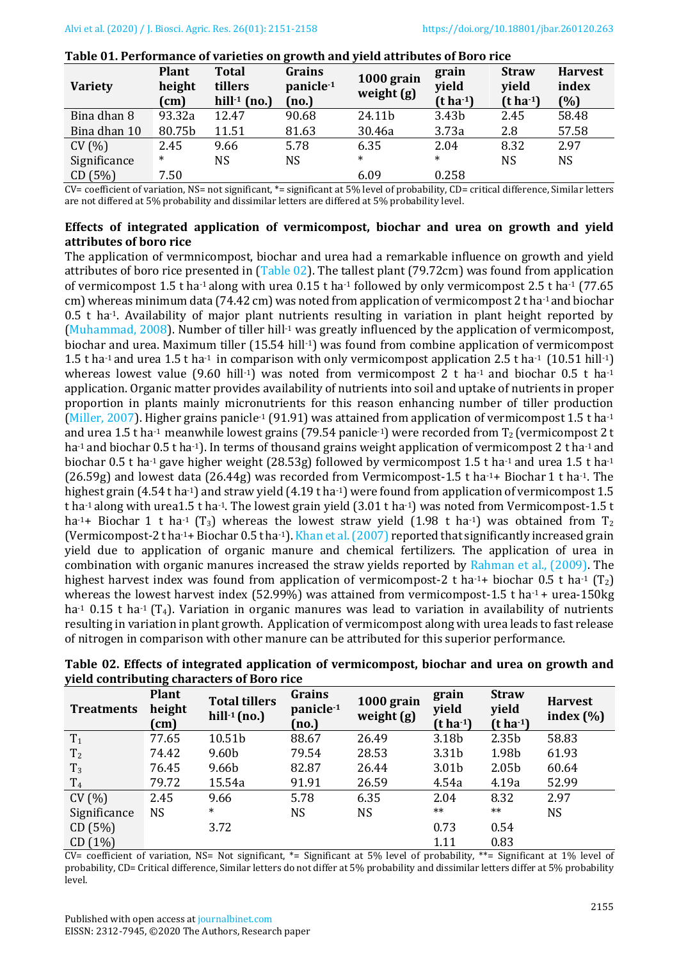| <b>Variety</b> | <b>Plant</b><br>height<br>(cm) | <b>Total</b><br>tillers<br>hill $-1$ (no.) | Grains<br>panicle <sup>-1</sup><br>$\mathbf{no.}$ | 1000 grain<br>weight (g) | grain<br>vield<br>$(t \, ha^{-1})$ | <b>Straw</b><br>yield<br>$(t ha-1)$ | <b>Harvest</b><br>index<br>$(\% )$ |
|----------------|--------------------------------|--------------------------------------------|---------------------------------------------------|--------------------------|------------------------------------|-------------------------------------|------------------------------------|
| Bina dhan 8    | 93.32a                         | 12.47                                      | 90.68                                             | 24.11b                   | 3.43 <sub>b</sub>                  | 2.45                                | 58.48                              |
| Bina dhan 10   | 80.75b                         | 11.51                                      | 81.63                                             | 30.46a                   | 3.73a                              | 2.8                                 | 57.58                              |
| CV(%)          | 2.45                           | 9.66                                       | 5.78                                              | 6.35                     | 2.04                               | 8.32                                | 2.97                               |
| Significance   | $\ast$                         | NS                                         | <b>NS</b>                                         | $\ast$                   | $\ast$                             | <b>NS</b>                           | NS                                 |
| CD(5%)         | 7.50                           |                                            |                                                   | 6.09                     | 0.258                              |                                     |                                    |

<span id="page-4-0"></span>**Table 01. Performance of varieties on growth and yield attributes of Boro rice**

 $CV= coefficient$  of variation,  $NS= not$  significant,  $*=$  significant at 5% level of probability,  $CD=$  critical difference. Similar letters are not differed at 5% probability and dissimilar letters are differed at 5% probability level.

### **Effects of integrated application of vermicompost, biochar and urea on growth and yield attributes of boro rice**

The application of vermnicompost, biochar and urea had a remarkable influence on growth and yield attributes of boro rice presented in [\(Table 02\)](#page-4-1). The tallest plant (79.72cm) was found from application of vermicompost 1.5 t ha-1 along with urea 0.15 t ha-1 followed by only vermicompost 2.5 t ha-1 (77.65 cm) whereas minimum data (74.42 cm) was noted from application of vermicompost 2 t ha<sup>-1</sup> and biochar 0.5 t ha-1. Availability of major plant nutrients resulting in variation in plant height reported by [\(Muhammad, 2008\)](#page-6-9). Number of tiller hill<sup>-1</sup> was greatly influenced by the application of vermicompost, biochar and urea. Maximum tiller (15.54 hill-1) was found from combine application of vermicompost 1.5 t ha-1 and urea 1.5 t ha-1 in comparison with only vermicompost application 2.5 t ha-1 (10.51 hill-1) whereas lowest value (9.60 hill<sup>-1</sup>) was noted from vermicompost 2 t ha<sup>-1</sup> and biochar 0.5 t ha<sup>-1</sup> application. Organic matter provides availability of nutrients into soil and uptake of nutrients in proper proportion in plants mainly micronutrients for this reason enhancing number of tiller production [\(Miller, 2007\)](#page-6-10). Higher grains panicle<sup>-1</sup> (91.91) was attained from application of vermicompost 1.5 t ha<sup>-1</sup> and urea 1.5 t ha<sup>-1</sup> meanwhile lowest grains (79.54 panicle-1) were recorded from  $T_2$  (vermicompost 2 t ha<sup>-1</sup> and biochar 0.5 t ha<sup>-1</sup>). In terms of thousand grains weight application of vermicompost 2 t ha<sup>-1</sup> and biochar 0.5 t ha<sup>-1</sup> gave higher weight (28.53g) followed by vermicompost 1.5 t ha<sup>-1</sup> and urea 1.5 t ha<sup>-1</sup>  $(26.59g)$  and lowest data  $(26.44g)$  was recorded from Vermicompost-1.5 t ha<sup>-1</sup>+ Biochar 1 t ha<sup>-1</sup>. The highest grain (4.54 t ha<sup>-1</sup>) and straw yield (4.19 t ha<sup>-1</sup>) were found from application of vermicompost 1.5 t ha-1 along with urea1.5 t ha-1. The lowest grain yield (3.01 t ha-1) was noted from Vermicompost-1.5 t ha<sup>-1</sup>+ Biochar 1 t ha<sup>-1</sup> (T<sub>3</sub>) whereas the lowest straw yield (1.98 t ha<sup>-1</sup>) was obtained from T<sub>2</sub> (Vermicompost-2 t ha<sup>-1+</sup> Biochar 0.5 t ha<sup>-1</sup>). Khan et al. (2007) reported that significantly increased grain yield due to application of organic manure and chemical fertilizers. The application of urea in combination with organic manures increased the straw yields reported by [Rahman et al., \(2009\)](#page-6-12). The highest harvest index was found from application of vermicompost-2 t ha-1+ biochar 0.5 t ha-1 (T<sub>2</sub>) whereas the lowest harvest index (52.99%) was attained from vermicompost-1.5 t ha<sup>-1</sup> + urea-150kg ha<sup>-1</sup> 0.15 t ha<sup>-1</sup> (T<sub>4</sub>). Variation in organic manures was lead to variation in availability of nutrients resulting in variation in plant growth. Application of vermicompost along with urea leads to fast release of nitrogen in comparison with other manure can be attributed for this superior performance.

| <b>Treatments</b> | <b>Plant</b><br>height<br>$\text{(cm)}$ | <b>Total tillers</b><br>hill $-1$ (no.) | Grains<br>panicle <sup>1</sup><br>[no.] | 1000 grain<br>weight (g) | grain<br>yield<br>$(t ha-1)$ | <b>Straw</b><br>yield<br>(t ha <sup>1</sup> ) | <b>Harvest</b><br>index $(\% )$ |
|-------------------|-----------------------------------------|-----------------------------------------|-----------------------------------------|--------------------------|------------------------------|-----------------------------------------------|---------------------------------|
| T <sub>1</sub>    | 77.65                                   | 10.51b                                  | 88.67                                   | 26.49                    | 3.18b                        | 2.35 <sub>b</sub>                             | 58.83                           |
| T <sub>2</sub>    | 74.42                                   | 9.60b                                   | 79.54                                   | 28.53                    | 3.31b                        | 1.98b                                         | 61.93                           |
| $T_3$             | 76.45                                   | 9.66b                                   | 82.87                                   | 26.44                    | 3.01 <sub>b</sub>            | 2.05 <sub>b</sub>                             | 60.64                           |
| T <sub>4</sub>    | 79.72                                   | 15.54a                                  | 91.91                                   | 26.59                    | 4.54a                        | 4.19a                                         | 52.99                           |
| CV(% )            | 2.45                                    | 9.66                                    | 5.78                                    | 6.35                     | 2.04                         | 8.32                                          | 2.97                            |
| Significance      | <b>NS</b>                               | $\ast$                                  | <b>NS</b>                               | <b>NS</b>                | $***$                        | $***$                                         | <b>NS</b>                       |
| CD(5%)            |                                         | 3.72                                    |                                         |                          | 0.73                         | 0.54                                          |                                 |
| CD(1%)            |                                         |                                         |                                         |                          | 1.11                         | 0.83                                          |                                 |

<span id="page-4-1"></span>**Table 02. Effects of integrated application of vermicompost, biochar and urea on growth and yield contributing characters of Boro rice**

 $CV=$  coefficient of variation,  $NS=$  Not significant,  $*=$  Significant at 5% level of probability,  $**=$  Significant at 1% level of probability, CD= Critical difference, Similar letters do not differ at 5% probability and dissimilar letters differ at 5% probability level.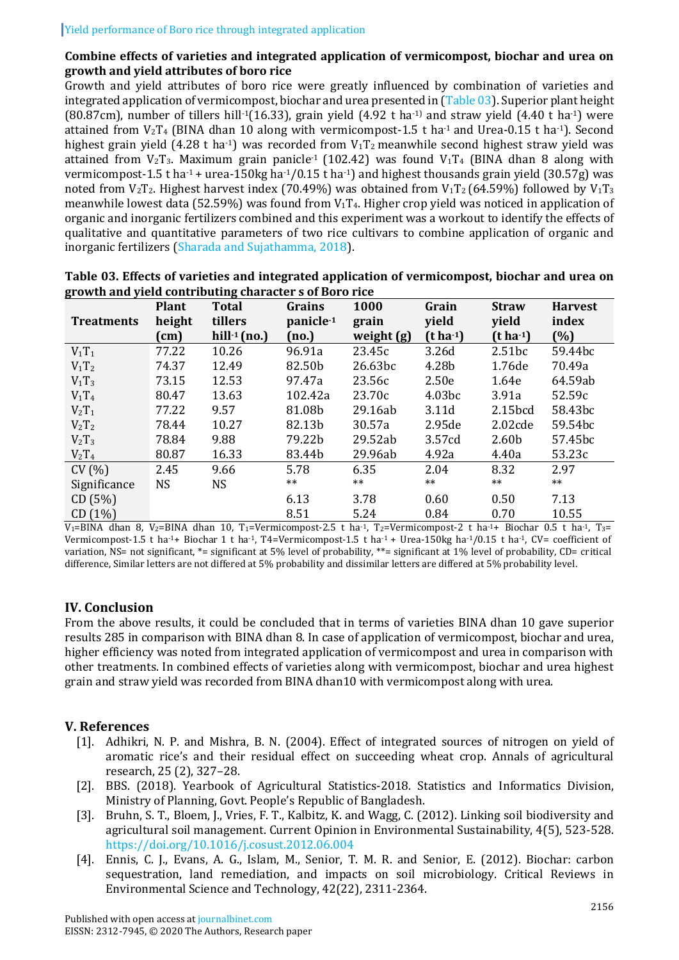# **Combine effects of varieties and integrated application of vermicompost, biochar and urea on growth and yield attributes of boro rice**

Growth and yield attributes of boro rice were greatly influenced by combination of varieties and integrated application of vermicompost, biochar and urea presented in [\(Table 03\)](#page-5-4). Superior plant height (80.87cm), number of tillers hill<sup>-1</sup>(16.33), grain yield (4.92 t ha<sup>-1)</sup> and straw yield (4.40 t ha<sup>-1</sup>) were attained from  $V_2T_4$  (BINA dhan 10 along with vermicompost-1.5 t ha<sup>-1</sup> and Urea-0.15 t ha<sup>-1</sup>). Second highest grain yield (4.28 t ha<sup>-1</sup>) was recorded from  $V_1T_2$  meanwhile second highest straw yield was attained from  $V_2T_3$ . Maximum grain panicle<sup>-1</sup> (102.42) was found  $V_1T_4$  (BINA dhan 8 along with vermicompost-1.5 t ha<sup>-1</sup> + urea-150kg ha<sup>-1</sup>/0.15 t ha<sup>-1</sup>) and highest thousands grain yield (30.57g) was noted from  $V_2T_2$ . Highest harvest index (70.49%) was obtained from  $V_1T_2$  (64.59%) followed by  $V_1T_3$ meanwhile lowest data (52.59%) was found from  $V_1T_4$ . Higher crop yield was noticed in application of organic and inorganic fertilizers combined and this experiment was a workout to identify the effects of qualitative and quantitative parameters of two rice cultivars to combine application of organic and inorganic fertilizers [\(Sharada and Sujathamma, 2018\)](#page-6-13).

|                   | <b>Plant</b> | <b>Total</b>    | Grains                | 1000       | Grain              | <b>Straw</b>         | <b>Harvest</b> |
|-------------------|--------------|-----------------|-----------------------|------------|--------------------|----------------------|----------------|
| <b>Treatments</b> | height       | tillers         | panicle <sup>-1</sup> | grain      | yield              | yield                | index          |
|                   | (cm)         | hill $-1$ (no.) | (no.)                 | weight (g) | $(t ha-1)$         | (t ha <sup>1</sup> ) | (%)            |
| $V_1T_1$          | 77.22        | 10.26           | 96.91a                | 23.45c     | 3.26d              | 2.51bc               | 59.44bc        |
| $V_1T_2$          | 74.37        | 12.49           | 82.50b                | 26.63bc    | 4.28b              | 1.76de               | 70.49a         |
| $V_1T_3$          | 73.15        | 12.53           | 97.47a                | 23.56c     | 2.50e              | 1.64e                | 64.59ab        |
| $V_1T_4$          | 80.47        | 13.63           | 102.42a               | 23.70c     | 4.03 <sub>bc</sub> | 3.91a                | 52.59c         |
| $V_2T_1$          | 77.22        | 9.57            | 81.08b                | 29.16ab    | 3.11d              | 2.15bcd              | 58.43bc        |
| $V_2T_2$          | 78.44        | 10.27           | 82.13b                | 30.57a     | 2.95de             | 2.02cde              | 59.54bc        |
| $V_2T_3$          | 78.84        | 9.88            | 79.22b                | 29.52ab    | 3.57cd             | 2.60 <sub>b</sub>    | 57.45bc        |
| $V_2T_4$          | 80.87        | 16.33           | 83.44b                | 29.96ab    | 4.92a              | 4.40a                | 53.23c         |
| CV(% )            | 2.45         | 9.66            | 5.78                  | 6.35       | 2.04               | 8.32                 | 2.97           |
| Significance      | NS.          | <b>NS</b>       | $***$                 | $***$      | $***$              | $***$                | $***$          |
| CD(5%)            |              |                 | 6.13                  | 3.78       | 0.60               | 0.50                 | 7.13           |
| CD(1%)            |              |                 | 8.51                  | 5.24       | 0.84               | 0.70                 | 10.55          |

<span id="page-5-4"></span>

| Table 03. Effects of varieties and integrated application of vermicompost, biochar and urea on |  |
|------------------------------------------------------------------------------------------------|--|
| growth and yield contributing character s of Boro rice                                         |  |

 $V_1=BINA$  dhan 8,  $V_2=BINA$  dhan 10, T<sub>1</sub>=Vermicompost-2.5 t ha<sup>-1</sup>, T<sub>2</sub>=Vermicompost-2 t ha<sup>-1</sup>+ Biochar 0.5 t ha<sup>-1</sup>, T<sub>3</sub>= Vermicompost-1.5 t ha-1+ Biochar 1 t ha-1, T4=Vermicompost-1.5 t ha-1 + Urea-150kg ha-1/0.15 t ha-1, CV= coefficient of variation, NS= not significant, \*= significant at 5% level of probability, \*\*= significant at 1% level of probability, CD= critical difference, Similar letters are not differed at 5% probability and dissimilar letters are differed at 5% probability level.

# **IV. Conclusion**

From the above results, it could be concluded that in terms of varieties BINA dhan 10 gave superior results 285 in comparison with BINA dhan 8. In case of application of vermicompost, biochar and urea, higher efficiency was noted from integrated application of vermicompost and urea in comparison with other treatments. In combined effects of varieties along with vermicompost, biochar and urea highest grain and straw yield was recorded from BINA dhan10 with vermicompost along with urea.

# **V. References**

- <span id="page-5-2"></span>[1]. Adhikri, N. P. and Mishra, B. N. (2004). Effect of integrated sources of nitrogen on yield of aromatic rice's and their residual effect on succeeding wheat crop. Annals of agricultural research, 25 (2), 327–28.
- <span id="page-5-0"></span>[2]. BBS. (2018). Yearbook of Agricultural Statistics-2018. Statistics and Informatics Division, Ministry of Planning, Govt. People's Republic of Bangladesh.
- <span id="page-5-1"></span>[3]. Bruhn, S. T., Bloem, J., Vries, F. T., Kalbitz, K. and Wagg, C. (2012). Linking soil biodiversity and agricultural soil management. Current Opinion in Environmental Sustainability, 4(5), 523-528. <https://doi.org/10.1016/j.cosust.2012.06.004>
- <span id="page-5-3"></span>[4]. Ennis, C. J., Evans, A. G., Islam, M., Senior, T. M. R. and Senior, E. (2012). Biochar: carbon sequestration, land remediation, and impacts on soil microbiology. Critical Reviews in Environmental Science and Technology, 42(22), 2311-2364.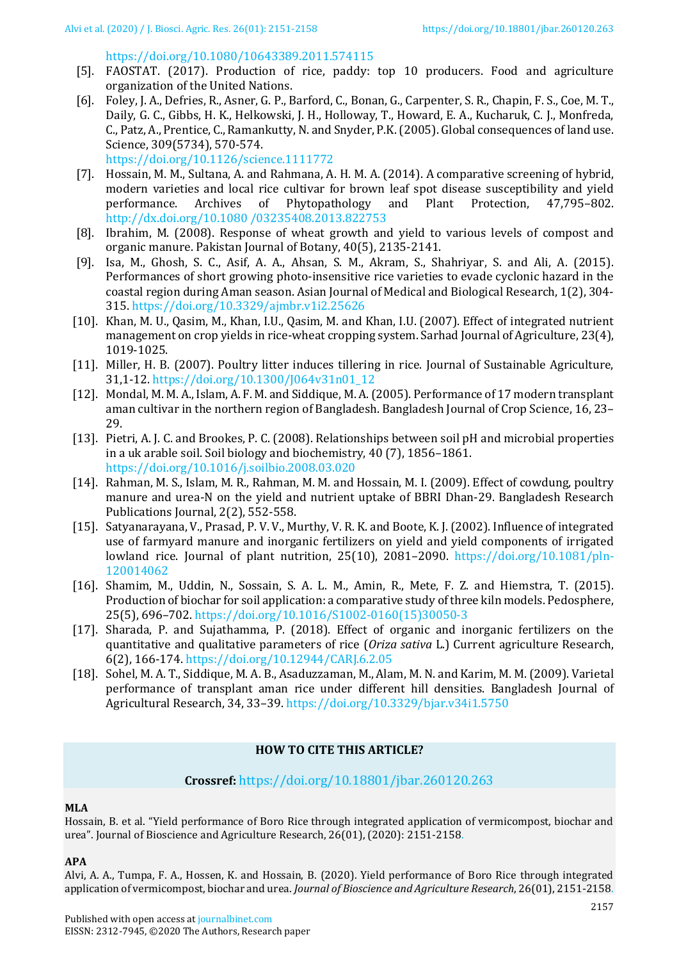### <https://doi.org/10.1080/10643389.2011.574115>

- <span id="page-6-0"></span>[5]. FAOSTAT. (2017). Production of rice, paddy: top 10 producers. Food and agriculture organization of the United Nations.
- <span id="page-6-3"></span>[6]. Foley, J. A., Defries, R., Asner, G. P., Barford, C., Bonan, G., Carpenter, S. R., Chapin, F. S., Coe, M. T., Daily, G. C., Gibbs, H. K., Helkowski, J. H., Holloway, T., Howard, E. A., Kucharuk, C. J., Monfreda, C., Patz, A., Prentice, C., Ramankutty, N. and Snyder, P.K. (2005). Global consequences of land use. Science, 309(5734), 570-574.

<https://doi.org/10.1126/science.1111772>

- <span id="page-6-7"></span>[7]. Hossain, M. M., Sultana, A. and Rahmana, A. H. M. A. (2014). A comparative screening of hybrid, modern varieties and local rice cultivar for brown leaf spot disease susceptibility and yield performance. Archives of Phytopathology and Plant Protection, 47,795–802. [http://dx.doi.org/10.1080 /03235408.2013.822753](http://dx.doi.org/10.1080%20/03235408.2013.822753)
- <span id="page-6-9"></span>[8]. Ibrahim, M. (2008). Response of wheat growth and yield to various levels of compost and organic manure. Pakistan Journal of Botany, 40(5), 2135-2141.
- <span id="page-6-5"></span>[9]. Isa, M., Ghosh, S. C., Asif, A. A., Ahsan, S. M., Akram, S., Shahriyar, S. and Ali, A. (2015). Performances of short growing photo-insensitive rice varieties to evade cyclonic hazard in the coastal region during Aman season. Asian Journal of Medical and Biological Research, 1(2), 304- 315.<https://doi.org/10.3329/ajmbr.v1i2.25626>
- <span id="page-6-11"></span>[10]. Khan, M. U., Qasim, M., Khan, I.U., Qasim, M. and Khan, I.U. (2007). Effect of integrated nutrient management on crop yields in rice-wheat cropping system. Sarhad Journal of Agriculture, 23(4), 1019-1025.
- <span id="page-6-10"></span>[11]. Miller, H. B. (2007). Poultry litter induces tillering in rice. Journal of Sustainable Agriculture, 31,1-12. [https://doi.org/10.1300/J064v31n01\\_12](https://doi.org/10.1300/J064v31n01_12)
- <span id="page-6-8"></span>[12]. Mondal, M. M. A., Islam, A. F. M. and Siddique, M. A. (2005). Performance of 17 modern transplant aman cultivar in the northern region of Bangladesh. Bangladesh Journal of Crop Science, 16, 23– 29.
- <span id="page-6-2"></span>[13]. Pietri, A. J. C. and Brookes, P. C. (2008). Relationships between soil pH and microbial properties in a uk arable soil. Soil biology and biochemistry, 40 (7), 1856–1861. <https://doi.org/10.1016/j.soilbio.2008.03.020>
- <span id="page-6-12"></span>[14]. Rahman, M. S., Islam, M. R., Rahman, M. M. and Hossain, M. I. (2009). Effect of cowdung, poultry manure and urea-N on the yield and nutrient uptake of BBRI Dhan-29. Bangladesh Research Publications Journal, 2(2), 552-558.
- <span id="page-6-1"></span>[15]. Satyanarayana, V., Prasad, P. V. V., Murthy, V. R. K. and Boote, K. J. (2002). Influence of integrated use of farmyard manure and inorganic fertilizers on yield and yield components of irrigated lowland rice. Journal of plant nutrition, 25(10), 2081–2090. https://doi.org/10.1081/pln-120014062
- <span id="page-6-4"></span>[16]. Shamim, M., Uddin, N., Sossain, S. A. L. M., Amin, R., Mete, F. Z. and Hiemstra, T. (2015). Production of biochar for soil application: a comparative study of three kiln models. Pedosphere, 25(5), 696–702. [https://doi.org/10.1016/S1002-0160\(15\)30050-3](https://doi.org/10.1016/S1002-0160(15)30050-3)
- <span id="page-6-13"></span>[17]. Sharada, P. and Sujathamma, P. (2018). Effect of organic and inorganic fertilizers on the quantitative and qualitative parameters of rice (*Oriza sativa* L.) Current agriculture Research, 6(2), 166-174. <https://doi.org/10.12944/CARJ.6.2.05>
- <span id="page-6-6"></span>[18]. Sohel, M. A. T., Siddique, M. A. B., Asaduzzaman, M., Alam, M. N. and Karim, M. M. (2009). Varietal performance of transplant aman rice under different hill densities. Bangladesh Journal of Agricultural Research, 34, 33–39. <https://doi.org/10.3329/bjar.v34i1.5750>

# **HOW TO CITE THIS ARTICLE?**

# **Crossref:** <https://doi.org/10.18801/jbar.260120.263>

# **MLA**

Hossain, B. et al. "Yield performance of Boro Rice through integrated application of vermicompost, biochar and urea". Journal of Bioscience and Agriculture Research, 26(01), (2020): 2151-2158.

#### **APA**

Alvi, A. A., Tumpa, F. A., Hossen, K. and Hossain, B. (2020). Yield performance of Boro Rice through integrated application of vermicompost, biochar and urea. *Journal of Bioscience and Agriculture Research*, 26(01), 2151-2158.